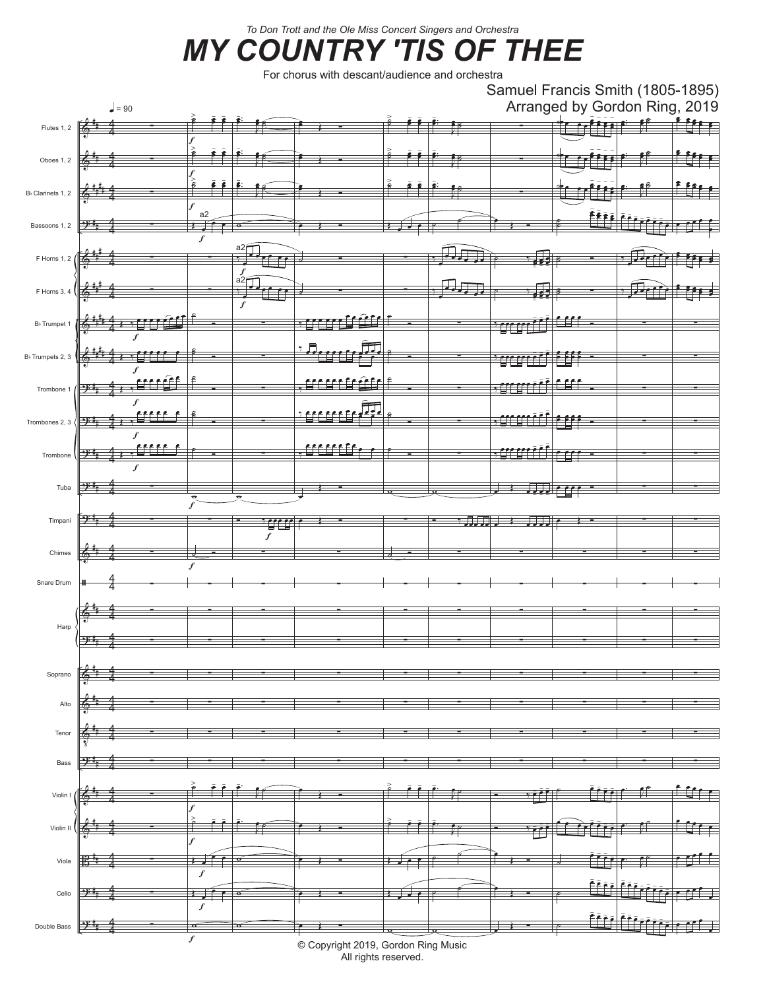*To Don Trott and the Ole Miss Concert Singers and Orchestra*

## *MY COUNTRY 'TIS OF THEE*

For chorus with descant/audience and orchestra



All rights reserved.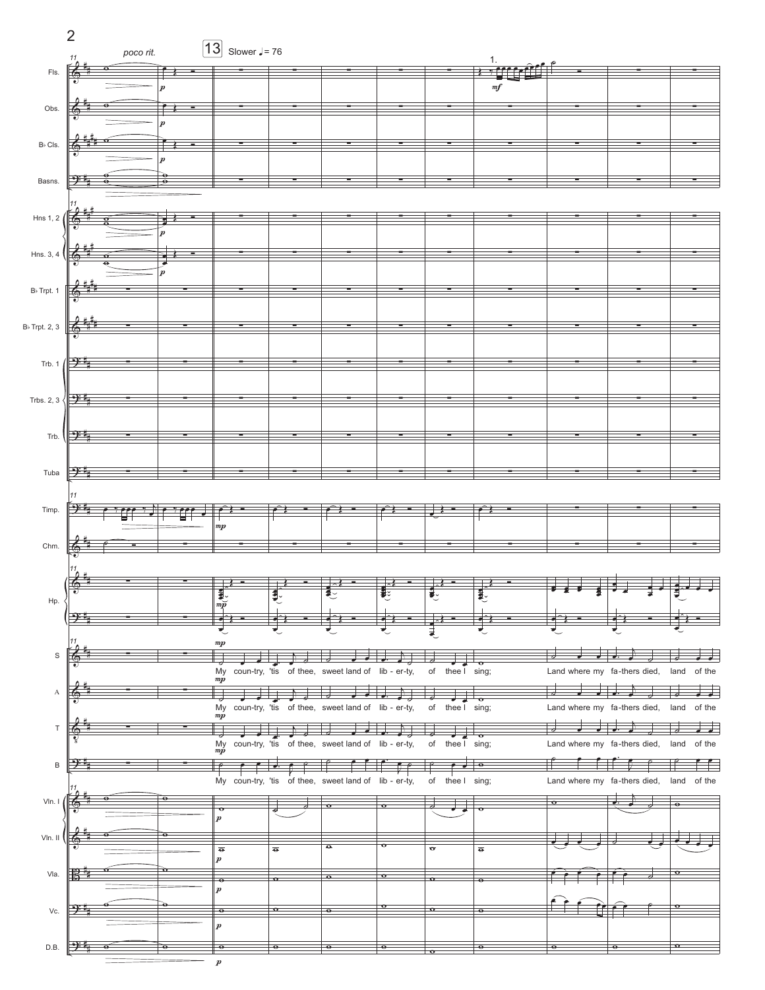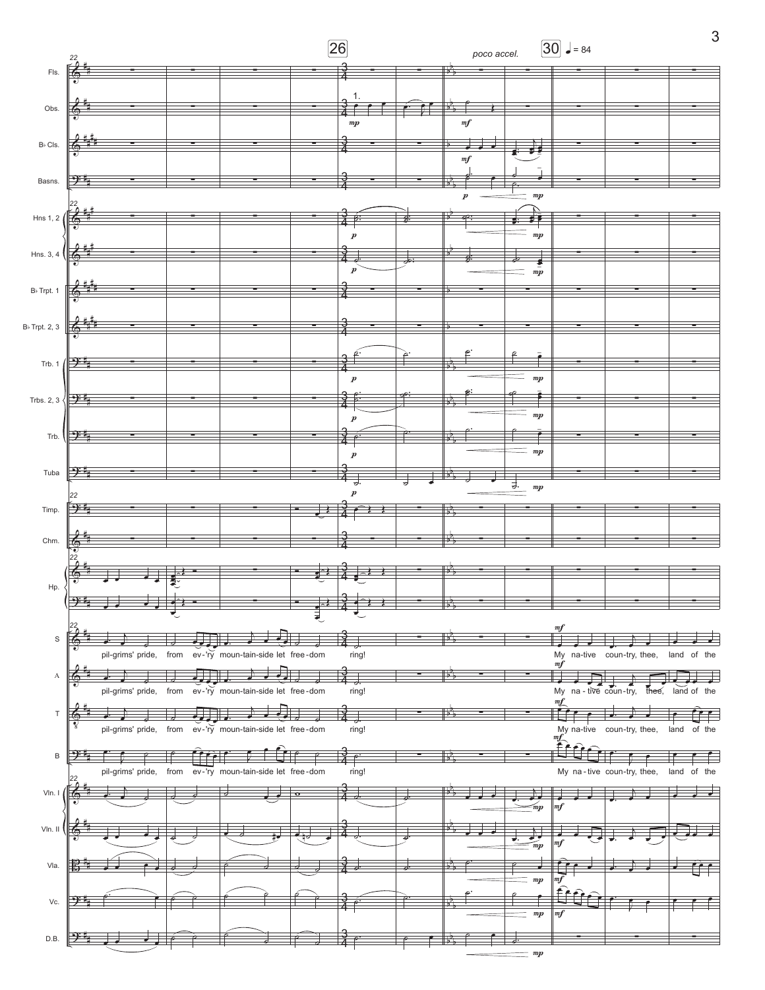

3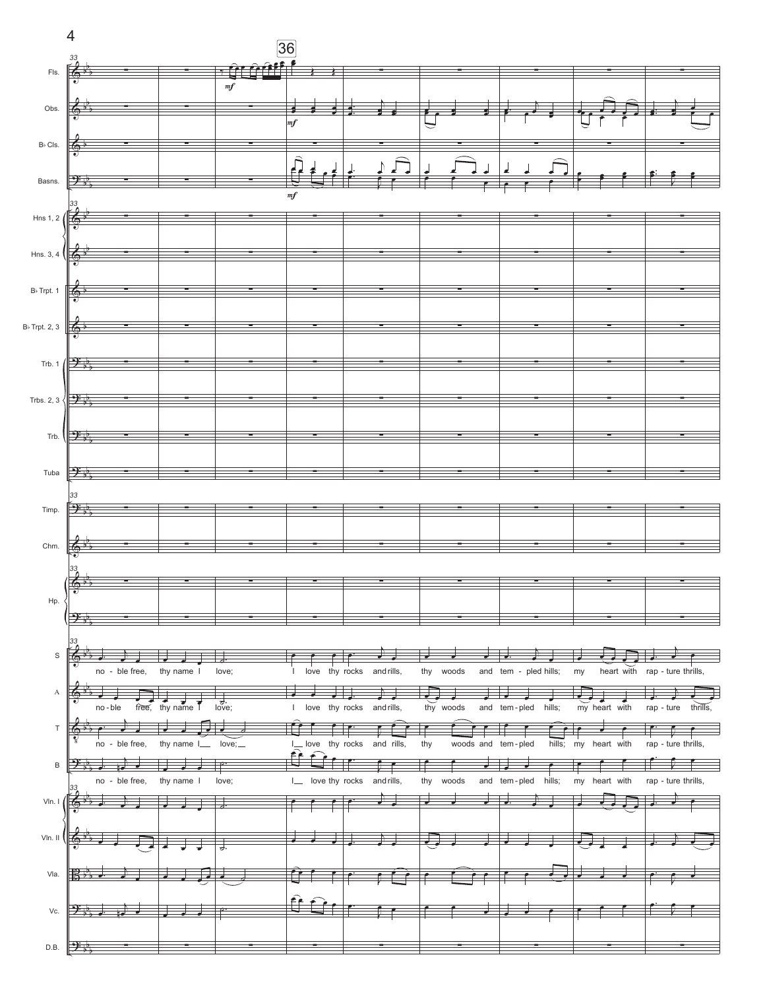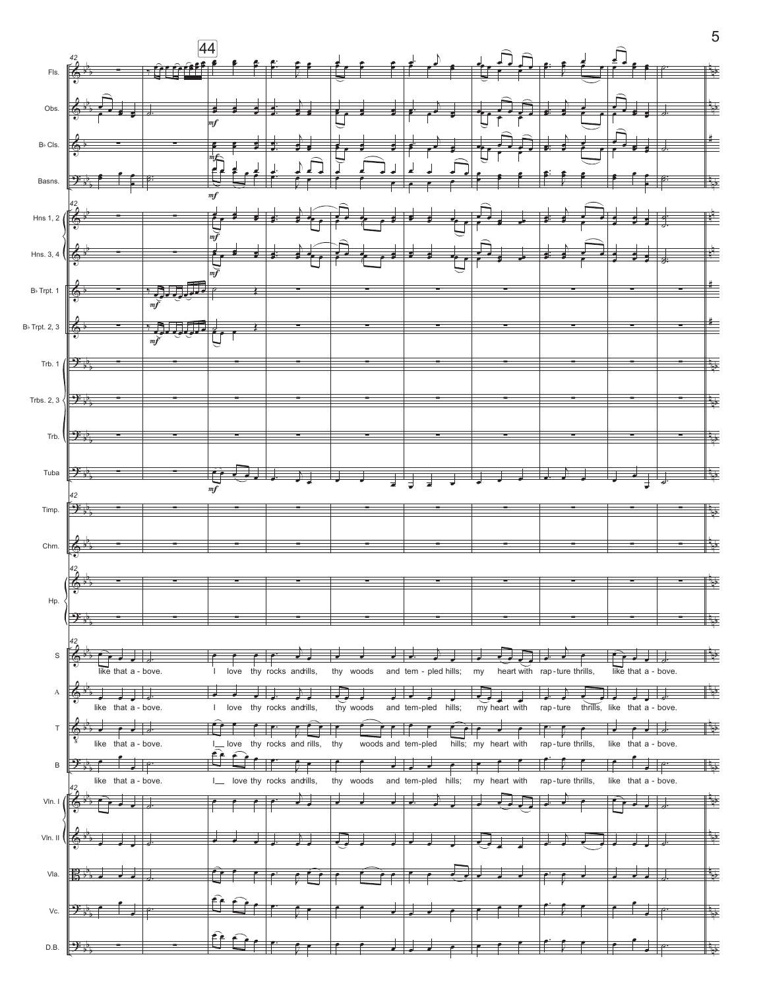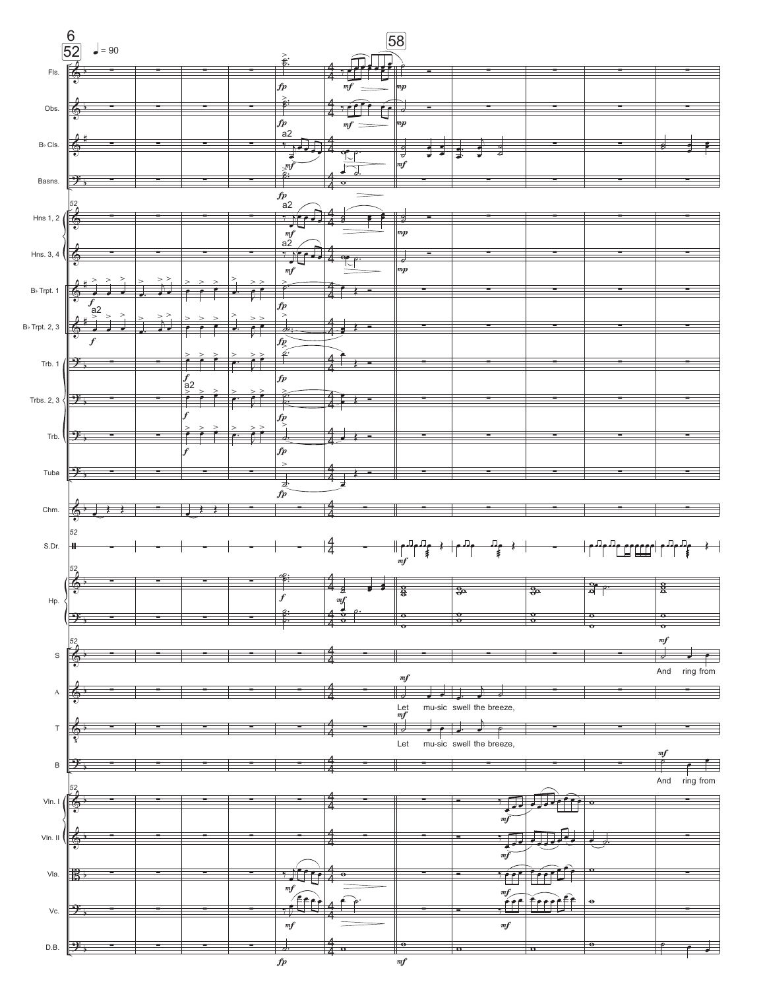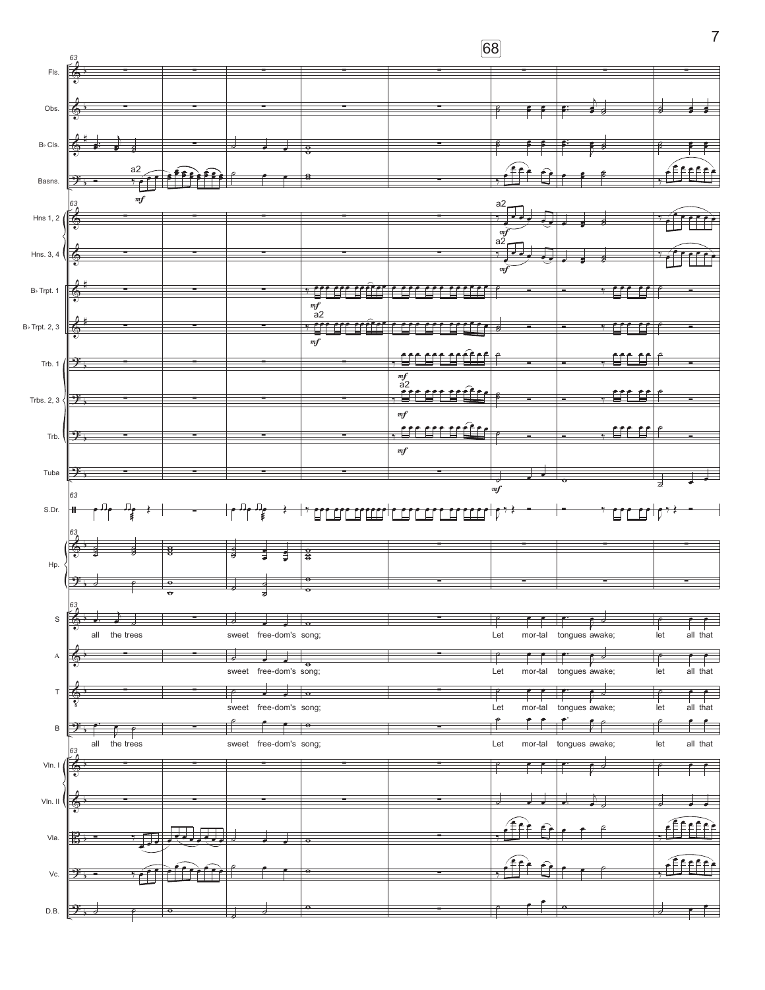

 $\overline{7}$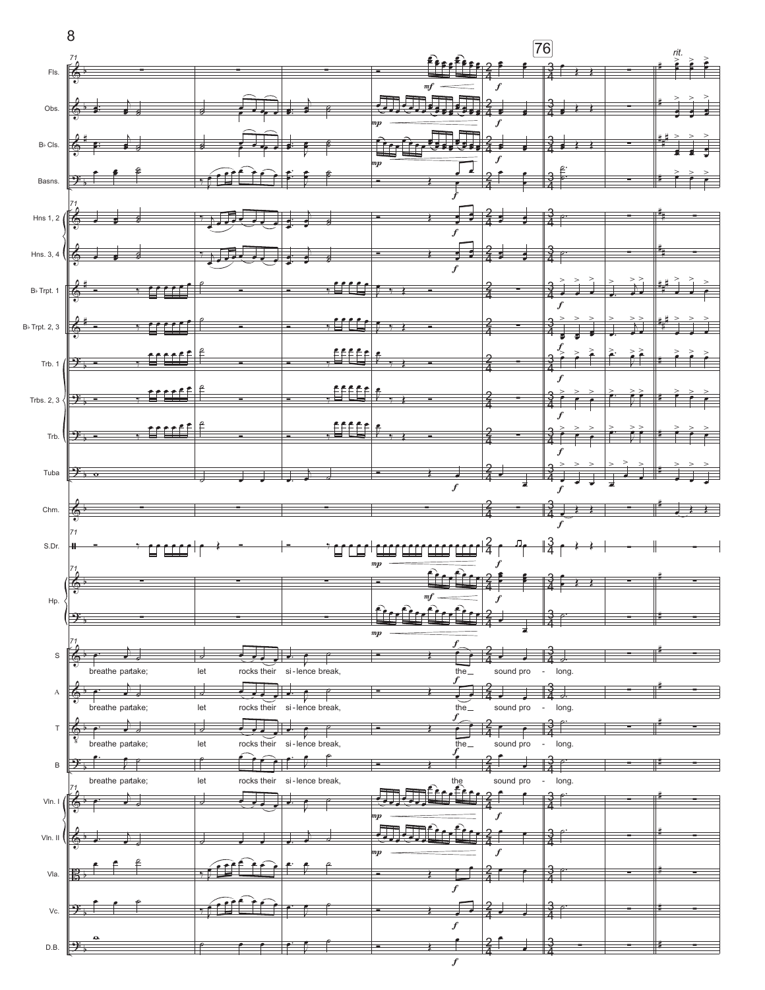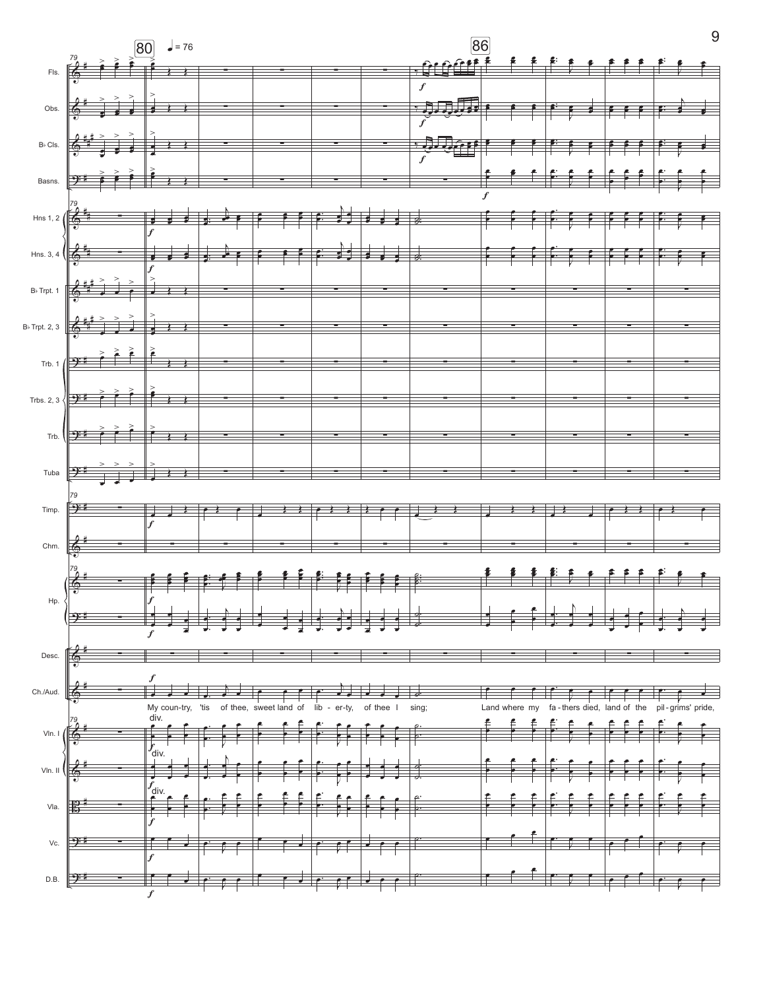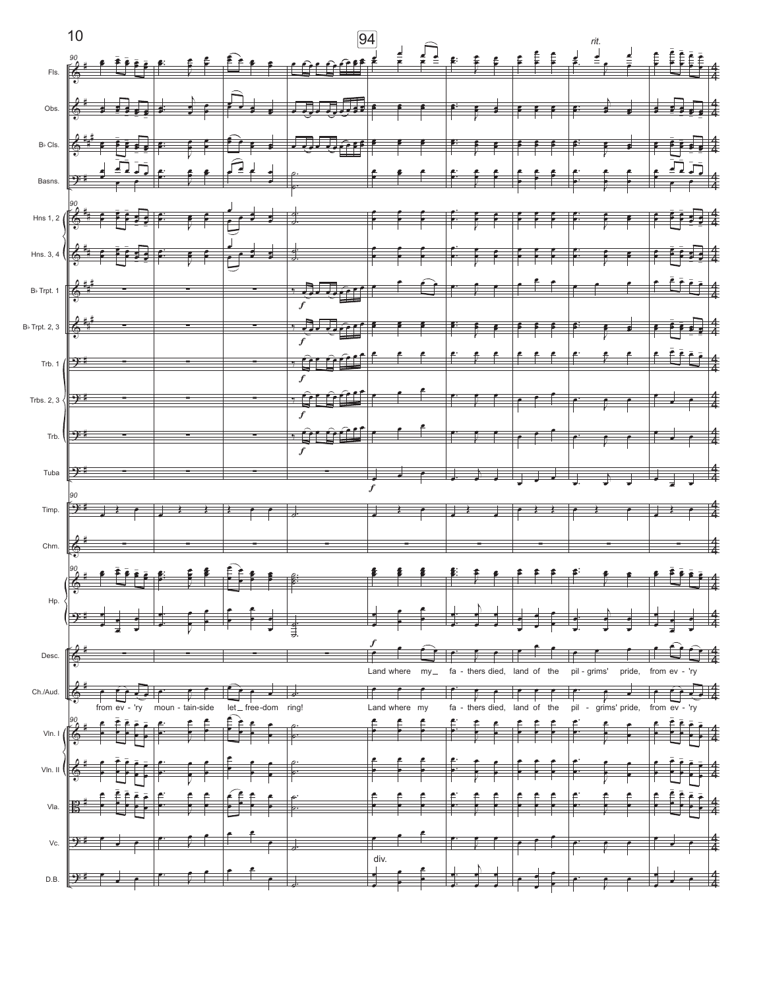